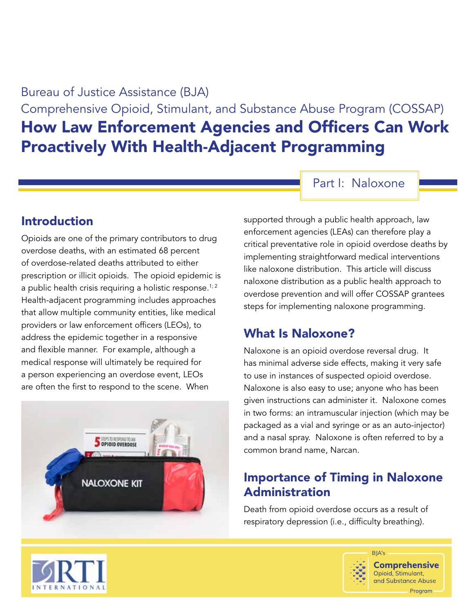Bureau of Justice Assistance (BJA) Comprehensive Opioid, Stimulant, and Substance Abuse Program (COSSAP) How Law Enforcement Agencies and Officers Can Work Proactively With Health-Adjacent Programming

Part I: Naloxone

#### Introduction

Opioids are one of the primary contributors to drug overdose deaths, with an estimated 68 percent of overdose-related deaths attributed to either prescription or illicit opioids. The opioid epidemic is a public health crisis requiring a holistic response.<sup>1; 2</sup> Health-adjacent programming includes approaches that allow multiple community entities, like medical providers or law enforcement officers (LEOs), to address the epidemic together in a responsive and flexible manner. For example, although a medical response will ultimately be required for a person experiencing an overdose event, LEOs are often the first to respond to the scene. When



supported through a public health approach, law enforcement agencies (LEAs) can therefore play a critical preventative role in opioid overdose deaths by implementing straightforward medical interventions like naloxone distribution. This article will discuss naloxone distribution as a public health approach to overdose prevention and will offer COSSAP grantees steps for implementing naloxone programming.

#### What Is Naloxone?

Naloxone is an opioid overdose reversal drug. It has minimal adverse side effects, making it very safe to use in instances of suspected opioid overdose. Naloxone is also easy to use; anyone who has been given instructions can administer it. Naloxone comes in two forms: an intramuscular injection (which may be packaged as a vial and syringe or as an auto-injector) and a nasal spray. Naloxone is often referred to by a common brand name, Narcan.

## Importance of Timing in Naloxone Administration

Death from opioid overdose occurs as a result of respiratory depression (i.e., difficulty breathing).



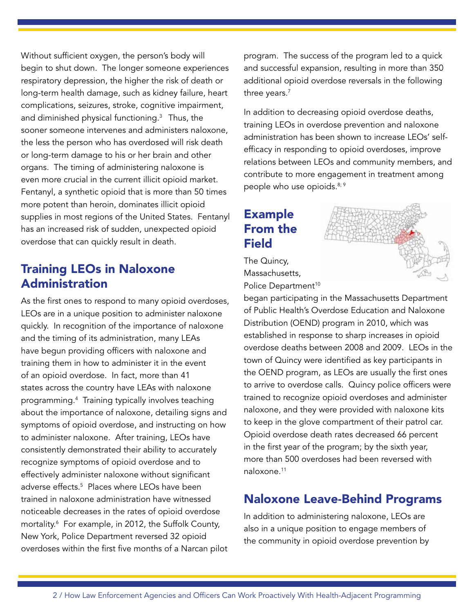Without sufficient oxygen, the person's body will begin to shut down. The longer someone experiences respiratory depression, the higher the risk of death or long-term health damage, such as kidney failure, heart complications, seizures, stroke, cognitive impairment, and diminished physical functioning.3 Thus, the sooner someone intervenes and administers naloxone, the less the person who has overdosed will risk death or long-term damage to his or her brain and other organs. The timing of administering naloxone is even more crucial in the current illicit opioid market. Fentanyl, a synthetic opioid that is more than 50 times more potent than heroin, dominates illicit opioid supplies in most regions of the United States. Fentanyl has an increased risk of sudden, unexpected opioid overdose that can quickly result in death.

#### Training LEOs in Naloxone Administration

As the first ones to respond to many opioid overdoses, LEOs are in a unique position to administer naloxone quickly. In recognition of the importance of naloxone and the timing of its administration, many LEAs have begun providing officers with naloxone and training them in how to administer it in the event of an opioid overdose. In fact, more than 41 states across the country have LEAs with naloxone programming.4 Training typically involves teaching about the importance of naloxone, detailing signs and symptoms of opioid overdose, and instructing on how to administer naloxone. After training, LEOs have consistently demonstrated their ability to accurately recognize symptoms of opioid overdose and to effectively administer naloxone without significant adverse effects.5 Places where LEOs have been trained in naloxone administration have witnessed noticeable decreases in the rates of opioid overdose mortality.6 For example, in 2012, the Suffolk County, New York, Police Department reversed 32 opioid overdoses within the first five months of a Narcan pilot

program. The success of the program led to a quick and successful expansion, resulting in more than 350 additional opioid overdose reversals in the following three years.<sup>7</sup>

In addition to decreasing opioid overdose deaths, training LEOs in overdose prevention and naloxone administration has been shown to increase LEOs' selfefficacy in responding to opioid overdoses, improve relations between LEOs and community members, and contribute to more engagement in treatment among people who use opioids.<sup>8; 9</sup>

# Example From the **Field**



The Quincy, Massachusetts, Police Department<sup>10</sup>

began participating in the Massachusetts Department of Public Health's Overdose Education and Naloxone Distribution (OEND) program in 2010, which was established in response to sharp increases in opioid overdose deaths between 2008 and 2009. LEOs in the town of Quincy were identified as key participants in the OEND program, as LEOs are usually the first ones to arrive to overdose calls. Quincy police officers were trained to recognize opioid overdoses and administer naloxone, and they were provided with naloxone kits to keep in the glove compartment of their patrol car. Opioid overdose death rates decreased 66 percent in the first year of the program; by the sixth year, more than 500 overdoses had been reversed with naloxone.11

## Naloxone Leave-Behind Programs

In addition to administering naloxone, LEOs are also in a unique position to engage members of the community in opioid overdose prevention by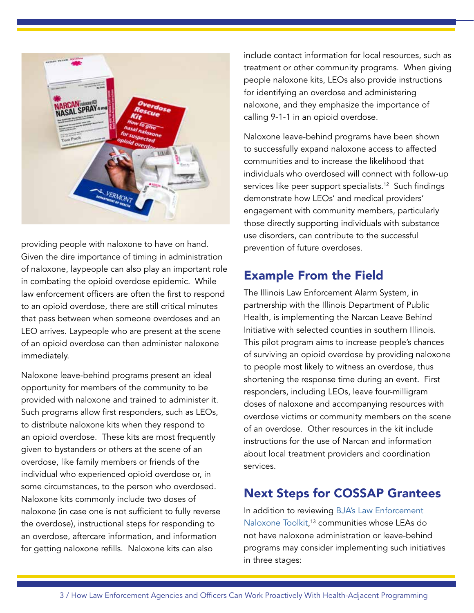

providing people with naloxone to have on hand. Given the dire importance of timing in administration of naloxone, laypeople can also play an important role in combating the opioid overdose epidemic. While law enforcement officers are often the first to respond to an opioid overdose, there are still critical minutes that pass between when someone overdoses and an LEO arrives. Laypeople who are present at the scene of an opioid overdose can then administer naloxone immediately.

Naloxone leave-behind programs present an ideal opportunity for members of the community to be provided with naloxone and trained to administer it. Such programs allow first responders, such as LEOs, to distribute naloxone kits when they respond to an opioid overdose. These kits are most frequently given to bystanders or others at the scene of an overdose, like family members or friends of the individual who experienced opioid overdose or, in some circumstances, to the person who overdosed. Naloxone kits commonly include two doses of naloxone (in case one is not sufficient to fully reverse the overdose), instructional steps for responding to an overdose, aftercare information, and information for getting naloxone refills. Naloxone kits can also

include contact information for local resources, such as treatment or other community programs. When giving people naloxone kits, LEOs also provide instructions for identifying an overdose and administering naloxone, and they emphasize the importance of calling 9-1-1 in an opioid overdose.

Naloxone leave-behind programs have been shown to successfully expand naloxone access to affected communities and to increase the likelihood that individuals who overdosed will connect with follow-up services like peer support specialists.<sup>12</sup> Such findings demonstrate how LEOs' and medical providers' engagement with community members, particularly those directly supporting individuals with substance use disorders, can contribute to the successful prevention of future overdoses.

## Example From the Field

The Illinois Law Enforcement Alarm System, in partnership with the Illinois Department of Public Health, is implementing the Narcan Leave Behind Initiative with selected counties in southern Illinois. This pilot program aims to increase people's chances of surviving an opioid overdose by providing naloxone to people most likely to witness an overdose, thus shortening the response time during an event. First responders, including LEOs, leave four-milligram doses of naloxone and accompanying resources with overdose victims or community members on the scene of an overdose. Other resources in the kit include instructions for the use of Narcan and information about local treatment providers and coordination services.

## Next Steps for COSSAP Grantees

In addition to reviewing [BJA's Law Enforcement](https://bjatta.bja.ojp.gov/tools/naloxone/all)  [Naloxone Toolkit,](https://bjatta.bja.ojp.gov/tools/naloxone/all) 13 communities whose LEAs do not have naloxone administration or leave-behind programs may consider implementing such initiatives in three stages: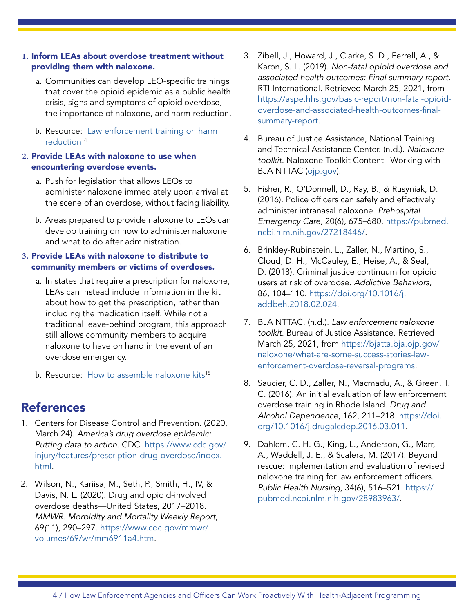#### **1.** Inform LEAs about overdose treatment without providing them with naloxone.

- a. Communities can develop LEO-specific trainings that cover the opioid epidemic as a public health crisis, signs and symptoms of opioid overdose, the importance of naloxone, and harm reduction.
- b. Resource: Law enforcement training on harm reduction<sup>14</sup>

#### **2.** Pr[ovide LEA](https://preventionsolutions.edc.org/services/resources/law-enforcement-training-harm-reduction)s with naloxone to use when encountering overdose events.

- a. Push for legislation that allows LEOs to administer naloxone immediately upon arrival at the scene of an overdose, without facing liability.
- b. Areas prepared to provide naloxone to LEOs can develop training on how to administer naloxone and what to do after administration.

#### **3.** Provide LEAs with naloxone to distribute to community members or victims of overdoses.

- a. In states that require a prescription for naloxone, LEAs can instead include information in the kit about how to get the prescription, rather than including the medication itself. While not a traditional leave-behind program, this approach still allows community members to acquire naloxone to have on hand in the event of an overdose emergency.
- b. Resource: How to assemble naloxone kits<sup>15</sup>

## References

- 1. Centers for Disease Control and Prevention. (2020, March 24). America's drug overdose epidemic: Putting data to action. CDC. [https://www.cdc.gov/](https://www.cdc.gov/injury/features/prescription-drug-overdose/index.html) [injury/features/prescription-drug-overdose/index.](https://www.cdc.gov/injury/features/prescription-drug-overdose/index.html) [html.](https://www.cdc.gov/injury/features/prescription-drug-overdose/index.html)
- 2. Wilson, N., Kariisa, M., Seth, P., Smith, H., IV, & Davis, N. L. (2020). Drug and opioid-involved overdose deaths—United States, 2017–2018. MMWR. Morbidity and Mortality Weekly Report, 69(11), 290–297. [https://www.cdc.gov/mmwr/](https://www.cdc.gov/mmwr/volumes/69/wr/mm6911a4.htm) [volumes/69/wr/mm6911a4.htm](https://www.cdc.gov/mmwr/volumes/69/wr/mm6911a4.htm).
- 3. Zibell, J., Howard, J., Clarke, S. D., Ferrell, A., & Karon, S. L. (2019). Non-fatal opioid overdose and associated health outcomes: Final summary report. RTI International. Retrieved March 25, 2021, from [https://aspe.hhs.gov/basic-report/non-fatal-opioid](https://aspe.hhs.gov/basic-report/non-fatal-opioid-overdose-and-associated-health-outcomes-final-summary-report)[overdose-and-associated-health-outcomes-final](https://aspe.hhs.gov/basic-report/non-fatal-opioid-overdose-and-associated-health-outcomes-final-summary-report)[summary-report.](https://aspe.hhs.gov/basic-report/non-fatal-opioid-overdose-and-associated-health-outcomes-final-summary-report)
- 4. Bureau of Justice Assistance, National Training and Technical Assistance Center. (n.d.). Naloxone toolkit. Naloxone Toolkit Content | Working with BJA NTTAC [\(ojp.gov\)](http://ojp.gov).
- 5. Fisher, R., O'Donnell, D., Ray, B., & Rusyniak, D. (2016). Police officers can safely and effectively administer intranasal naloxone. Prehospital Emergency Care, 20(6), 675–680. [https://pubmed.](https://pubmed.ncbi.nlm.nih.gov/27218446/) [ncbi.nlm.nih.gov/27218446/.](https://pubmed.ncbi.nlm.nih.gov/27218446/)
- 6. Brinkley-Rubinstein, L., Zaller, N., Martino, S., Cloud, D. H., McCauley, E., Heise, A., & Seal, D. (2018). Criminal justice continuum for opioid users at risk of overdose. Addictive Behaviors, 86, 104–110. [https://doi.org/10.1016/j.](https://doi.org/10.1016/j.addbeh.2018.02.024) [addbeh.2018.02.024](https://doi.org/10.1016/j.addbeh.2018.02.024).
- 7. BJA NTTAC. (n.d.). Law enforcement naloxone toolkit. Bureau of Justice Assistance. Retrieved March 25, 2021, from [https://bjatta.bja.ojp.gov/](https://bjatta.bja.ojp.gov/naloxone/what-are-some-success-stories-law-enforcement-overdose-reversal-programs) [naloxone/what-are-some-success-stories-law](https://bjatta.bja.ojp.gov/naloxone/what-are-some-success-stories-law-enforcement-overdose-reversal-programs)[enforcement-overdose-reversal-programs](https://bjatta.bja.ojp.gov/naloxone/what-are-some-success-stories-law-enforcement-overdose-reversal-programs).
- 8. Saucier, C. D., Zaller, N., Macmadu, A., & Green, T. C. (2016). An initial evaluation of law enforcement overdose training in Rhode Island. Drug and Alcohol Dependence, 162, 211–218. [https://doi.](https://doi.org/10.1016/j.drugalcdep.2016.03.011) [org/10.1016/j.drugalcdep.2016.03.011.](https://doi.org/10.1016/j.drugalcdep.2016.03.011)
- 9. Dahlem, C. H. G., King, L., Anderson, G., Marr, A., Waddell, J. E., & Scalera, M. (2017). Beyond rescue: Implementation and evaluation of revised naloxone training for law enforcement officers. Public Health Nursing, 34(6), 516–521. [https://](https://pubmed.ncbi.nlm.nih.gov/28983963/) [pubmed.ncbi.nlm.nih.gov/28983963/](https://pubmed.ncbi.nlm.nih.gov/28983963/).